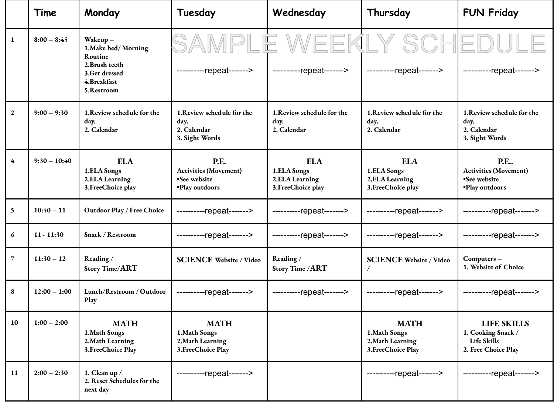|                  | Time           | Monday                                                                                                     | Tuesday                                                                       | Wednesday                                                          | Thursday                                                                                                                  | <b>FUN Friday</b>                                                              |
|------------------|----------------|------------------------------------------------------------------------------------------------------------|-------------------------------------------------------------------------------|--------------------------------------------------------------------|---------------------------------------------------------------------------------------------------------------------------|--------------------------------------------------------------------------------|
| $\mathbf{1}$     | $8:00 - 8:45$  | Wakeup-<br>1. Make bed/Morning<br>Routine<br>2. Brush teeth<br>3.Get dressed<br>4. Breakfast<br>5.Restroom | SAMPL                                                                         |                                                                    | E WEEKLY SCHED<br>----------repeat------->   ---------repeat------->   ---------repeat------->   ----------repeat-------> |                                                                                |
| $\boldsymbol{2}$ | $9:00 - 9:30$  | 1. Review schedule for the<br>day.<br>2. Calendar                                                          | 1. Review schedule for the<br>day.<br>2. Calendar<br>3. Sight Words           | 1. Review schedule for the<br>day.<br>2. Calendar                  | 1. Review schedule for the<br>day.<br>2. Calendar                                                                         | 1. Review schedule for the<br>day.<br>2. Calendar<br>3. Sight Words            |
| $\overline{4}$   | $9:30 - 10:40$ | <b>ELA</b><br>1.ELA Songs<br>2.ELA Learning<br>3. FreeChoice play                                          | <b>P.E.</b><br><b>Activities (Movement)</b><br>•See website<br>•Play outdoors | <b>ELA</b><br>1.ELA Songs<br>2.ELA Learning<br>3. Free Choice play | <b>ELA</b><br>1.ELA Songs<br>2.ELA Learning<br>3. Free Choice play                                                        | <b>P.E</b><br><b>Activities (Movement)</b><br>•See website<br>·Play outdoors   |
| 5                | $10:40 - 11$   | Outdoor Play / Free Choice                                                                                 | ----------repeat------->                                                      | ----------repeat------->                                           | ----------repeat------->                                                                                                  | ----------repeat------->                                                       |
| 6                | $11 - 11:30$   | Snack / Restroom                                                                                           | ----------repeat------->                                                      | ----------repeat------->                                           | ----------repeat------->                                                                                                  | ----------repeat------->                                                       |
| $\overline{7}$   | $11:30 - 12$   | Reading/<br>Story Time/ART                                                                                 | <b>SCIENCE Website / Video</b>                                                | Reading /<br>Story Time / ART                                      | <b>SCIENCE Website / Video</b>                                                                                            | Computers-<br>1. Website of Choice                                             |
| 8                | $12:00 - 1:00$ | Lunch/Restroom / Outdoor<br>Play                                                                           | ----------repeat------->                                                      | ----------repeat------->                                           | ----------repeat------->                                                                                                  | ----------repeat------->                                                       |
| 10               | $1:00 - 2:00$  | <b>MATH</b><br>1. Math Songs<br>2. Math Learning<br>3. Free Choice Play                                    | <b>MATH</b><br>1. Math Songs<br>2. Math Learning<br>3. FreeChoice Play        |                                                                    | <b>MATH</b><br>1.Math Songs<br>2. Math Learning<br>3. Free Choice Play                                                    | <b>LIFE SKILLS</b><br>1. Cooking Snack /<br>Life Skills<br>2. Free Choice Play |
| 11               | $2:00 - 2:30$  | 1. Clean up /<br>2. Reset Schedules for the<br>next day                                                    | ----------repeat------->                                                      |                                                                    | ----------repeat------->                                                                                                  | ----------repeat------->                                                       |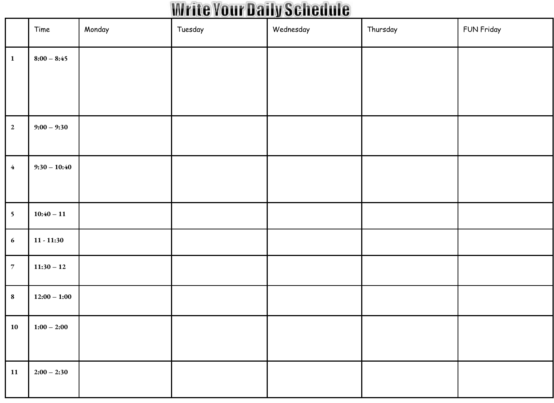### **Write Your Daily Schedule**

|                          | Time           | Monday | Tuesday | Wednesday | Thursday | FUN Friday |
|--------------------------|----------------|--------|---------|-----------|----------|------------|
| $\vert$ 1                | $8:00 - 8:45$  |        |         |           |          |            |
|                          |                |        |         |           |          |            |
| $\overline{\mathbf{2}}$  | $9:00 - 9:30$  |        |         |           |          |            |
| $4\phantom{.}$           | $9:30 - 10:40$ |        |         |           |          |            |
| $\overline{\phantom{a}}$ | $10:40 - 11$   |        |         |           |          |            |
| $\boldsymbol{6}$         | $11 - 11:30$   |        |         |           |          |            |
| $\overline{7}$           | $11:30 - 12$   |        |         |           |          |            |
| $\boldsymbol{8}$         | $12:00 - 1:00$ |        |         |           |          |            |
| ${\bf 10}$               | $1:00 - 2:00$  |        |         |           |          |            |
| <b>11</b>                | $2:00 - 2:30$  |        |         |           |          |            |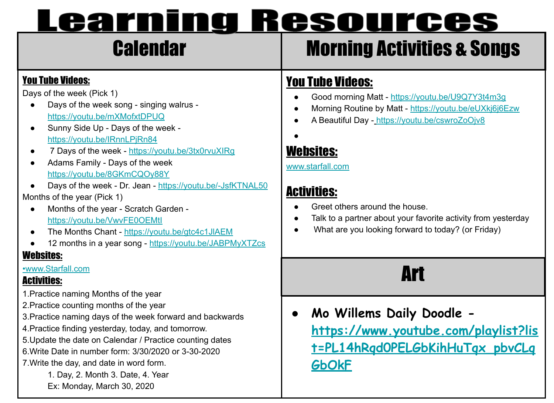## Calendar Morning Activities & Songs

#### You Tube Videos:

Days of the week (Pick 1)

- [Days of the week song singing walrus](https://youtu.be/mXMofxtDPUQ) <https://youtu.be/mXMofxtDPUQ>
- [Sunny Side Up Days of the week](https://youtu.be/IRnnLPjRn84) <https://youtu.be/IRnnLPjRn84>
- 7 Days of the week -<https://youtu.be/3tx0rvuXIRg>
- [Adams Family Days of the week](https://youtu.be/8GKmCQOy88Y) <https://youtu.be/8GKmCQOy88Y>
- [Days of the week Dr. Jean](https://youtu.be/-JsfKTNAL50) -<https://youtu.be/-JsfKTNAL50> Months of the year (Pick 1)
	- [Months of the year Scratch Garden](https://youtu.be/VwvFE0OEMtI) <https://youtu.be/VwvFE0OEMtI>
	- [The Months Chant](https://youtu.be/gtc4c1JlAEM)  <https://youtu.be/gtc4c1JlAEM>
- [12 months in a year song](https://youtu.be/JABPMyXTZcs)  <https://youtu.be/JABPMyXTZcs>

#### Websites:

#### [•www.Starfall.com](https://www.starfall.com/h/holiday/calendar/?sn=main)

#### Activities:

- 1.Practice naming Months of the year
- 2.Practice counting months of the year
- 3.Practice naming days of the week forward and backwards
- 4.Practice finding yesterday, today, and tomorrow.
- 5.Update the date on Calendar / Practice counting dates
- 6.Write Date in number form: 3/30/2020 or 3-30-2020
- 7.Write the day, and date in word form.
	- 1. Day, 2. Month 3. Date, 4. Year Ex: Monday, March 30, 2020

#### You Tube Videos:

- Good morning Matt https://youtu.be/U9Q7Y3t4m3q
- Morning Routine by Matt <https://youtu.be/eUXkj6j6Ezw>
- A Beautiful Day <https://youtu.be/cswroZoOjv8>

●

#### Websites:

[www.starfall.com](http://www.starfall.com)

#### Activities:

- Greet others around the house.
- Talk to a partner about your favorite activity from yesterday
- What are you looking forward to today? (or Friday)

## Art

**● Mo Willems Daily Doodle [https://www.youtube.com/playlist?lis](https://www.youtube.com/playlist?list=PL14hRqd0PELGbKihHuTqx_pbvCLqGbOkF) [t=PL14hRqd0PELGbKihHuTqx\\_pbvCLq](https://www.youtube.com/playlist?list=PL14hRqd0PELGbKihHuTqx_pbvCLqGbOkF) [GbOkF](https://www.youtube.com/playlist?list=PL14hRqd0PELGbKihHuTqx_pbvCLqGbOkF)**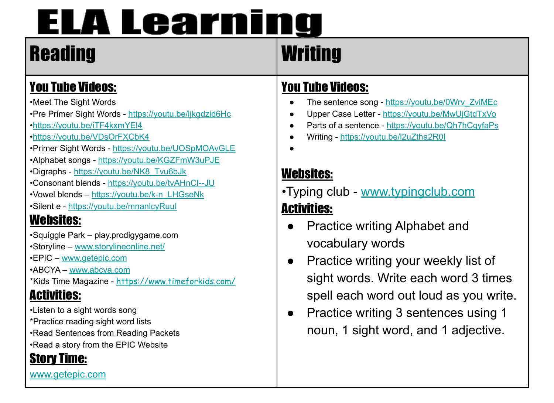# **ELA Learning**

# Reading Writing

### You Tube Videos:

•Meet The Sight Words

•Pre Primer Sight Words - <https://youtu.be/ljkgdzid6Hc>

•<https://youtu.be/iTF4kxmYEl4>

•<https://youtu.be/VDsOrFXCbK4>

•Primer Sight Words - <https://youtu.be/UOSpMOAvGLE>

•Alphabet songs - <https://youtu.be/KGZFmW3uPJE>

•Digraphs - [https://youtu.be/NK8\\_Tvu6bJk](https://youtu.be/NK8_Tvu6bJk)

•Consonant blends - <https://youtu.be/tvAHnCI--JU>

•Vowel blends – [https://youtu.be/k-n\\_LHGseNk](https://youtu.be/k-n_LHGseNk)

•Silent e - <https://youtu.be/mnanlcyRuuI>

### Websites:

•Squiggle Park – play.prodigygame.com

•Storyline – [www.storylineonline.net/](http://www.storylineonline.net/)

•EPIC – [www.getepic.com](http://www.getepic.com/)

•ABCYA [–](http://www.abcya.com/) [www.abcya.com](http://www.abcya.com)

\*Kids Time Magazine - <https://www.timeforkids.com/>

### Activities:

•Listen to a sight words song \*Practice reading sight word lists •Read Sentences from Reading Packets •Read a story from the EPIC Website

#### Story Time:

[www.getepic.com](http://www.getepic.com/)

#### You Tube Videos:

- The sentence song - [https://youtu.be/0Wrv\\_ZviMEc](https://youtu.be/0Wrv_ZviMEc)
- Upper Case Letter -<https://youtu.be/MwUjGtdTxVo>
- Parts of a sentence <https://youtu.be/Qh7hCqyfaPs>
- Writing <https://youtu.be/l2uZtha2R0I>
- ●

#### Websites:

- •Typing club [www.typingclub.com](http://www.typingclub.com/) Activities:
	- Practice writing Alphabet and vocabulary words
	- Practice writing your weekly list of sight words. Write each word 3 times spell each word out loud as you write.
	- Practice writing 3 sentences using 1 noun, 1 sight word, and 1 adjective.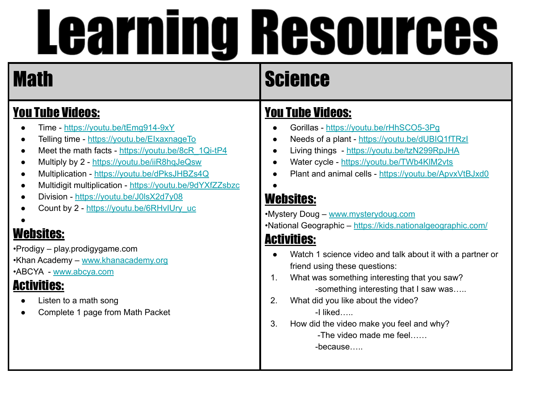#### You Tube Videos:

- Time <https://youtu.be/tEmg914-9xY>
- Telling time -<https://youtu.be/EIxaxnageTo>
- Meet the math facts [https://youtu.be/8cR\\_1Qi-tP4](https://youtu.be/8cR_1Qi-tP4)
- Multiply by 2 -<https://youtu.be/iiR8hqJeQsw>
- Multiplication <https://youtu.be/dPksJHBZs4Q>
- Multidigit multiplication -<https://youtu.be/9dYXfZZsbzc>
- Division -<https://youtu.be/J0lsX2d7y08>
- Count by 2 - [https://youtu.be/6RHvIUry\\_uc](https://youtu.be/6RHvIUry_uc)

#### ●

#### Websites:

•Prodigy – play.prodigygame.com •Khan Academy – [www.khanacademy.org](http://www.khanacademy.org/) •ABCYA - [www.abcya.com](http://www.abcya.com/)

#### Activities:

- Listen to a math song
- Complete 1 page from Math Packet

## Math Science

#### You Tube Videos:

- Gorillas <https://youtu.be/rHhSCO5-3Pg>
- Needs of a plant <https://youtu.be/dUBIQ1fTRzI>
- Living things -<https://youtu.be/tzN299RpJHA>
- Water cycle <https://youtu.be/TWb4KlM2vts>
- Plant and animal cells -<https://youtu.be/ApvxVtBJxd0>

#### Websites:

●

•Mystery Doug – [www.mysterydoug.com](http://www.mysterydoug.com/)

•National Geographic – <https://kids.nationalgeographic.com/>

#### Activities:

- Watch 1 science video and talk about it with a partner or friend using these questions:
- 1. What was something interesting that you saw? -something interesting that I saw was…..
- 2. What did you like about the video? -I liked…..
- 3. How did the video make you feel and why? -The video made me feel……

-because…..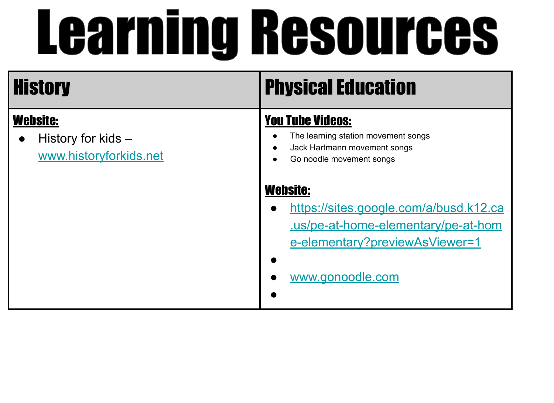| <b>History</b>                                                  | <b>Physical Education</b>                                                                                                                                          |
|-----------------------------------------------------------------|--------------------------------------------------------------------------------------------------------------------------------------------------------------------|
| <b>Website:</b><br>History for kids -<br>www.historyforkids.net | <b>You Tube Videos:</b><br>The learning station movement songs<br>Jack Hartmann movement songs<br>$\bullet$<br>Go noodle movement songs                            |
|                                                                 | <b>Website:</b><br>https://sites.google.com/a/busd.k12.ca<br>$\bullet$<br>us/pe-at-home-elementary/pe-at-hom<br>e-elementary?previewAsViewer=1<br>www.gonoodle.com |